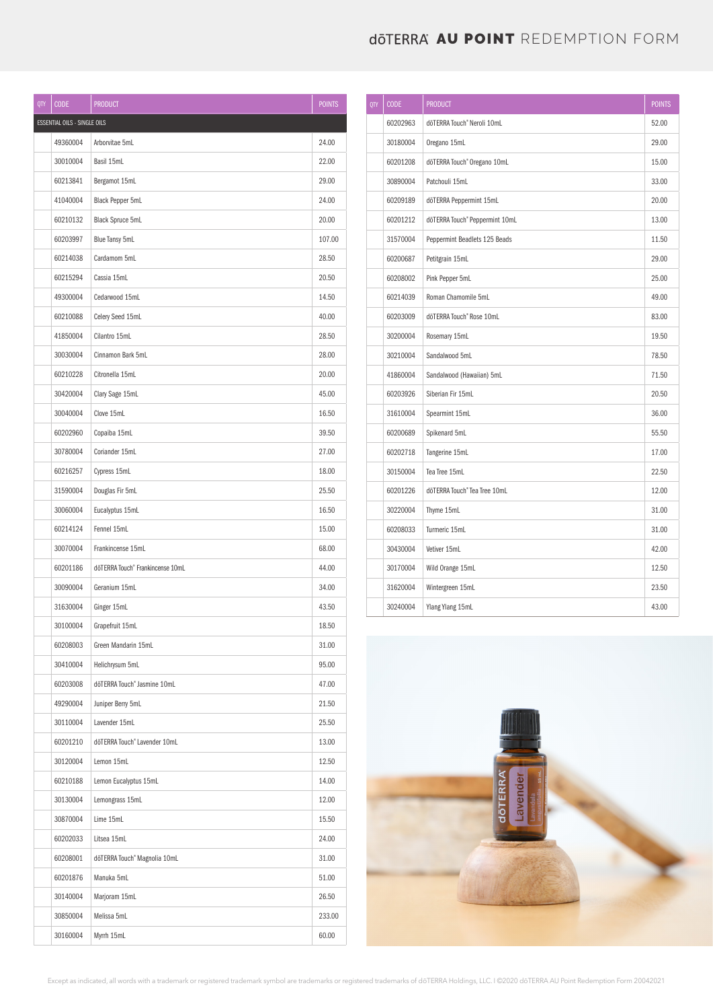## **doterra au point** Redemption form

| QTY | <b>CODE</b>                         | <b>PRODUCT</b>                   | <b>POINTS</b> |
|-----|-------------------------------------|----------------------------------|---------------|
|     | <b>ESSENTIAL OILS - SINGLE OILS</b> |                                  |               |
|     | 49360004                            | Arborvitae 5mL                   | 24.00         |
|     | 30010004                            | Basil 15mL                       | 22.00         |
|     | 60213841                            | Bergamot 15mL                    | 29.00         |
|     | 41040004                            | <b>Black Pepper 5mL</b>          | 24.00         |
|     | 60210132                            | <b>Black Spruce 5mL</b>          | 20.00         |
|     | 60203997                            | Blue Tansy 5mL                   | 107.00        |
|     | 60214038                            | Cardamom 5mL                     | 28.50         |
|     | 60215294                            | Cassia 15mL                      | 20.50         |
|     | 49300004                            | Cedarwood 15mL                   | 14.50         |
|     | 60210088                            | Celery Seed 15mL                 | 40.00         |
|     | 41850004                            | Cilantro 15mL                    | 28.50         |
|     | 30030004                            | Cinnamon Bark 5mL                | 28.00         |
|     | 60210228                            | Citronella 15mL                  | 20.00         |
|     | 30420004                            | Clary Sage 15mL                  | 45.00         |
|     | 30040004                            | Clove 15mL                       | 16.50         |
|     | 60202960                            | Copaiba 15mL                     | 39.50         |
|     | 30780004                            | Coriander 15mL                   | 27.00         |
|     | 60216257                            | Cypress 15mL                     | 18.00         |
|     | 31590004                            | Douglas Fir 5mL                  | 25.50         |
|     | 30060004                            | Eucalyptus 15mL                  | 16.50         |
|     | 60214124                            | Fennel 15mL                      | 15.00         |
|     | 30070004                            | Frankincense 15mL                | 68.00         |
|     | 60201186                            | dōTERRA Touch® Frankincense 10mL | 44.00         |
|     | 30090004                            | Geranium 15mL                    | 34.00         |
|     | 31630004                            | Ginger 15mL                      | 43.50         |
|     | 30100004                            | Grapefruit 15mL                  | 18.50         |
|     | 60208003                            | Green Mandarin 15mL              | 31.00         |
|     | 30410004                            | Helichrysum 5mL                  | 95.00         |
|     | 60203008                            | dōTERRA Touch® Jasmine 10mL      | 47.00         |
|     | 49290004                            | Juniper Berry 5mL                | 21.50         |
|     | 30110004                            | Lavender 15mL                    | 25.50         |
|     | 60201210                            | dōTERRA Touch® Lavender 10mL     | 13.00         |
|     | 30120004                            | Lemon 15mL                       | 12.50         |
|     | 60210188                            | Lemon Eucalyptus 15mL            | 14.00         |
|     | 30130004                            | Lemongrass 15mL                  | 12.00         |
|     | 30870004                            | Lime 15mL                        | 15.50         |
|     | 60202033                            | Litsea 15mL                      | 24.00         |
|     | 60208001                            | dōTERRA Touch® Magnolia 10mL     | 31.00         |
|     | 60201876                            | Manuka 5mL                       | 51.00         |
|     | 30140004                            | Marjoram 15mL                    | 26.50         |
|     | 30850004                            | Melissa 5mL                      | 233.00        |
|     | 30160004                            | Myrrh 15mL                       | 60.00         |

| QTY | <b>CODE</b> | <b>PRODUCT</b>                 | <b>POINTS</b> |
|-----|-------------|--------------------------------|---------------|
|     | 60202963    | dōTERRA Touch® Neroli 10mL     | 52.00         |
|     | 30180004    | Oregano 15mL                   | 29.00         |
|     | 60201208    | dōTERRA Touch® Oregano 10mL    | 15.00         |
|     | 30890004    | Patchouli 15mL                 | 33.00         |
|     | 60209189    | dōTERRA Peppermint 15mL        | 20.00         |
|     | 60201212    | dōTERRA Touch® Peppermint 10mL | 13.00         |
|     | 31570004    | Peppermint Beadlets 125 Beads  | 11.50         |
|     | 60200687    | Petitgrain 15mL                | 29.00         |
|     | 60208002    | Pink Pepper 5mL                | 25.00         |
|     | 60214039    | Roman Chamomile 5mL            | 49.00         |
|     | 60203009    | dōTERRA Touch® Rose 10mL       | 83.00         |
|     | 30200004    | Rosemary 15mL                  | 19.50         |
|     | 30210004    | Sandalwood 5mL                 | 78.50         |
|     | 41860004    | Sandalwood (Hawaiian) 5mL      | 71.50         |
|     | 60203926    | Siberian Fir 15mL              | 20.50         |
|     | 31610004    | Spearmint 15mL                 | 36.00         |
|     | 60200689    | Spikenard 5mL                  | 55.50         |
|     | 60202718    | Tangerine 15mL                 | 17.00         |
|     | 30150004    | Tea Tree 15mL                  | 22.50         |
|     | 60201226    | dōTERRA Touch® Tea Tree 10mL   | 12.00         |
|     | 30220004    | Thyme 15mL                     | 31.00         |
|     | 60208033    | Turmeric 15mL                  | 31.00         |
|     | 30430004    | Vetiver 15mL                   | 42.00         |
|     | 30170004    | Wild Orange 15mL               | 12.50         |
|     | 31620004    | Wintergreen 15mL               | 23.50         |
|     | 30240004    | Ylang Ylang 15mL               | 43.00         |



Except as indicated, all words with a trademark or registered trademark symbol are trademarks or registered trademarks of dōTERRA Holdings, LLC. I ©2020 dōTERRA AU Point Redemption Form 20042021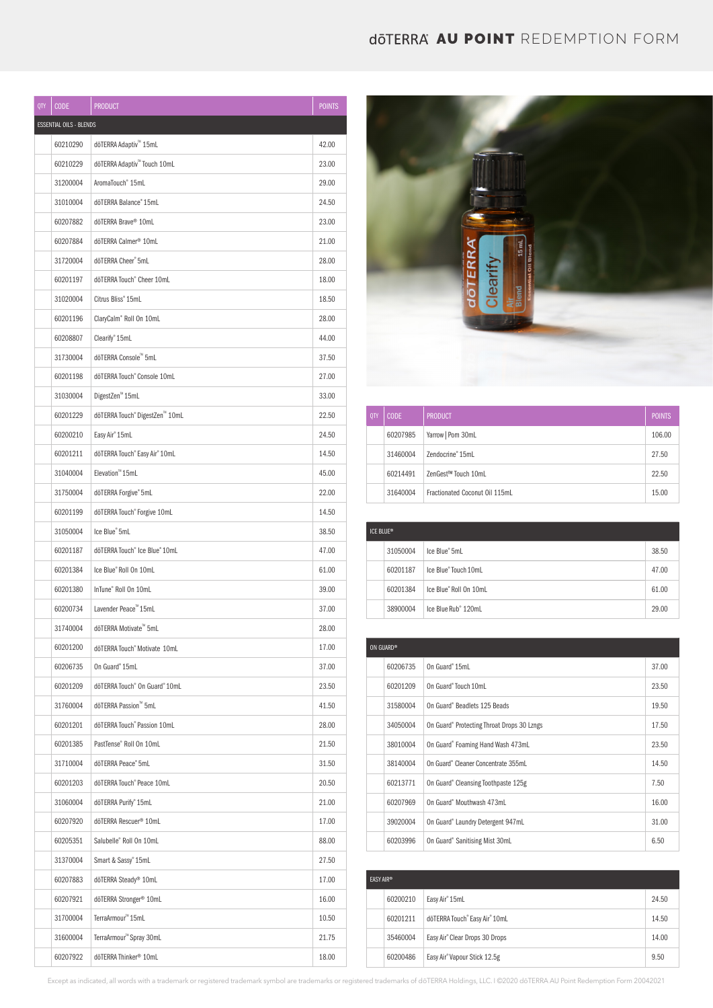## **doterra au point** Redemption form

| QTY | <b>CODE</b>             | <b>PRODUCT</b>                          | <b>POINTS</b> |
|-----|-------------------------|-----------------------------------------|---------------|
|     | ESSENTIAL OILS - BLENDS |                                         |               |
|     | 60210290                | dōTERRA Adaptiv <sup>™</sup> 15mL       | 42.00         |
|     | 60210229                | dōTERRA Adaptiv <sup>™</sup> Touch 10mL | 23.00         |
|     | 31200004                | AromaTouch <sup>®</sup> 15mL            | 29.00         |
|     | 31010004                | döTERRA Balance® 15mL                   | 24.50         |
|     | 60207882                | döTERRA Brave® 10mL                     | 23.00         |
|     | 60207884                | döTERRA Calmer® 10mL                    | 21.00         |
|     | 31720004                | döTERRA Cheer® 5mL                      | 28.00         |
|     | 60201197                | dōTERRA Touch® Cheer 10mL               | 18.00         |
|     | 31020004                | Citrus Bliss <sup>®</sup> 15mL          | 18.50         |
|     | 60201196                | ClaryCalm® Roll On 10mL                 | 28.00         |
|     | 60208807                | Clearify <sup>®</sup> 15mL              | 44.00         |
|     | 31730004                | dōTERRA Console™ 5mL                    | 37.50         |
|     | 60201198                | dōTERRA Touch® Console 10mL             | 27.00         |
|     | 31030004                | DigestZen <sup>™</sup> 15mL             | 33.00         |
|     | 60201229                | dōTERRA Touch® DigestZen™ 10mL          | 22.50         |
|     | 60200210                | Easy Air <sup>®</sup> 15mL              | 24.50         |
|     | 60201211                | dōTERRA Touch® Easy Air® 10mL           | 14.50         |
|     | 31040004                | Elevation <sup>™</sup> 15mL             | 45.00         |
|     | 31750004                | döTERRA Forgive® 5mL                    | 22.00         |
|     | 60201199                | dōTERRA Touch® Forgive 10mL             | 14.50         |
|     | 31050004                | Ice Blue" 5mL                           | 38.50         |
|     | 60201187                | dōTERRA Touch® Ice Blue® 10mL           | 47.00         |
|     | 60201384                | Ice Blue® Roll On 10mL                  | 61.00         |
|     | 60201380                | InTune® Roll On 10mL                    | 39.00         |
|     | 60200734                | Lavender Peace™ 15mL                    | 37.00         |
|     | 31740004                | dōTERRA Motivate™ 5mL                   | 28.00         |
|     | 60201200                | dōTERRA Touch® Motivate 10mL            | 17.00         |
|     | 60206735                | On Guard® 15mL                          | 37.00         |
|     | 60201209                | dōTERRA Touch® On Guard® 10mL           | 23.50         |
|     | 31760004                | dōTERRA Passion™ 5mL                    | 41.50         |
|     | 60201201                | dōTERRA Touch® Passion 10mL             | 28.00         |
|     | 60201385                | PastTense® Roll On 10mL                 | 21.50         |
|     | 31710004                | döTERRA Peace® 5mL                      | 31.50         |
|     | 60201203                | dōTERRA Touch® Peace 10mL               | 20.50         |
|     | 31060004                | döTERRA Purify® 15mL                    | 21.00         |
|     | 60207920                | döTERRA Rescuer <sup>®</sup> 10mL       | 17.00         |
|     | 60205351                | Salubelle® Roll On 10mL                 | 88.00         |
|     | 31370004                | Smart & Sassy® 15mL                     | 27.50         |
|     | 60207883                | döTERRA Steady® 10mL                    | 17.00         |
|     | 60207921                | döTERRA Stronger <sup>®</sup> 10mL      | 16.00         |
|     | 31700004                | TerraArmour™ 15mL                       | 10.50         |
|     | 31600004                | TerraArmour <sup>™</sup> Spray 30mL     | 21.75         |
|     | 60207922                | döTERRA Thinker® 10mL                   | 18.00         |



| 0TY | CODE     | <b>PRODUCT</b>                 | <b>POINTS</b> |
|-----|----------|--------------------------------|---------------|
|     | 60207985 | Yarrow   Pom 30mL              | 106.00        |
|     | 31460004 | Zendocrine <sup>®</sup> 15mL   | 27.50         |
|     | 60214491 | ZenGest™ Touch 10mL            | 22.50         |
|     | 31640004 | Fractionated Coconut Oil 115mL | 15.00         |

| ICF BLUF® |          |                                 |       |
|-----------|----------|---------------------------------|-------|
|           | 31050004 | Ice Blue <sup>®</sup> 5mL       | 38.50 |
|           | 60201187 | Ice Blue® Touch 10mL            | 47.00 |
|           | 60201384 | Ice Blue® Roll On 10mL          | 61.00 |
|           | 38900004 | Ice Blue Rub <sup>®</sup> 120mL | 29.00 |

| ON GUARD® |          |                                            |       |
|-----------|----------|--------------------------------------------|-------|
|           | 60206735 | On Guard <sup>®</sup> 15ml                 | 37.00 |
|           | 60201209 | On Guard®Touch 10mL                        | 23.50 |
|           | 31580004 | On Guard® Beadlets 125 Beads               | 19.50 |
|           | 34050004 | On Guard® Protecting Throat Drops 30 Lzngs | 17.50 |
|           | 38010004 | On Guard® Foaming Hand Wash 473mL          | 23.50 |
|           | 38140004 | On Guard® Cleaner Concentrate 355mL        | 14.50 |
|           | 60213771 | On Guard® Cleansing Toothpaste 125g        | 7.50  |
|           | 60207969 | On Guard® Mouthwash 473mL                  | 16.00 |
|           | 39020004 | On Guard® Laundry Detergent 947mL          | 31.00 |
|           | 60203996 | On Guard® Sanitising Mist 30mL             | 6.50  |

| <b>FASY AIR®</b> |          |                                |       |
|------------------|----------|--------------------------------|-------|
|                  | 60200210 | Easy Air <sup>®</sup> 15mL     | 24.50 |
|                  | 60201211 | dōTERRA Touch® Easy Air® 10mL  | 14.50 |
|                  | 35460004 | Easy Air® Clear Drops 30 Drops | 14.00 |
|                  | 60200486 | Easy Air® Vapour Stick 12.5g   | 9.50  |

Except as indicated, all words with a trademark or registered trademark symbol are trademarks or registered trademarks of dōTERRA Holdings, LLC. I ©2020 dōTERRA AU Point Redemption Form 20042021